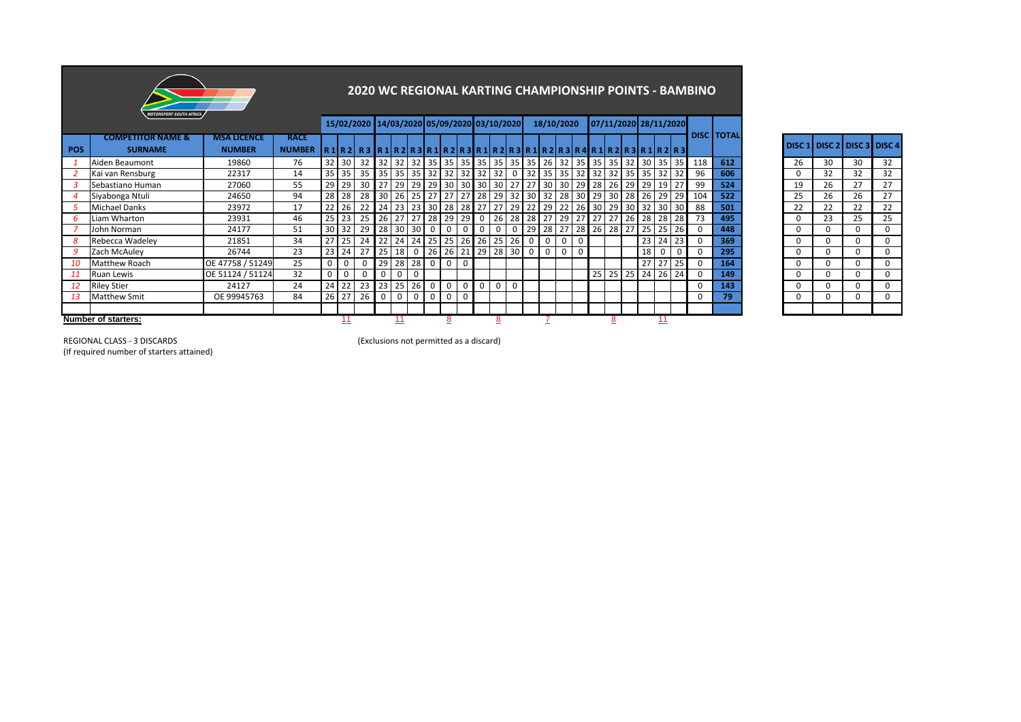

## **2020 WC REGIONAL KARTING CHAMPIONSHIP POINTS - BAMBINO**

|     |                                                |                                     |                              |                 |             |          | 15/02/2020 14/03/2020 05/09/2020 03/10/2020                         |              |              |                                                     |             |                         |                 |          |          |             | 18/10/2020     |              |                 |         |                 |                   |                 | 07/11/2020 28/11/2020 |                 |                    |                   |          |    |          |                                   |
|-----|------------------------------------------------|-------------------------------------|------------------------------|-----------------|-------------|----------|---------------------------------------------------------------------|--------------|--------------|-----------------------------------------------------|-------------|-------------------------|-----------------|----------|----------|-------------|----------------|--------------|-----------------|---------|-----------------|-------------------|-----------------|-----------------------|-----------------|--------------------|-------------------|----------|----|----------|-----------------------------------|
| POS | <b>COMPETITOR NAME &amp;</b><br><b>SURNAME</b> | <b>MSA LICENCE</b><br><b>NUMBER</b> | <b>RACE</b><br><b>NUMBER</b> |                 |             |          | R1 R2  R3  R1 R2 R3 R1 R2 R3 R1 R2 R3 R1 R2 R3 R4 R1 R2 R3 R1 R2 R3 |              |              |                                                     |             |                         |                 |          |          |             |                |              |                 |         |                 |                   |                 |                       |                 |                    | <b>DISC TOTAL</b> |          |    |          | DISC 1   DISC 2   DISC 3   DISC 4 |
|     | Aiden Beaumont                                 | 19860                               | 76                           |                 | 32 30       |          | 32 32 32 32 35 35 35 35 35 35 35 35 35 36 36                        |              |              |                                                     |             |                         |                 |          |          |             |                |              |                 | $35$ 35 |                 |                   |                 |                       |                 | 35 32 30 35 35 138 | 612               | 26       | 30 | 30       | 32                                |
|     | Kai van Rensburg                               | 22317                               | 14                           | 35              | 35          |          | 35 35 35 35 35 32 32 32 32                                          |              |              |                                                     |             |                         |                 | 32       |          | 32          | 35             | 35           |                 | $32$ 32 | 32              |                   |                 | 35 35 32              | 32              | 96                 | 606               | $\Omega$ | 32 | 32       | 32                                |
|     | Sebastiano Human                               | 27060                               | 55                           | 29              | 29          |          | 30 27 29                                                            |              |              |                                                     |             | 29 29 30 30 30 30       |                 |          | $127$ 27 |             | 30             | 30           | 29              | 28      | 26              | 29                | 29              | 19                    |                 | 99                 | 524               | 19       | 26 | 27       | 27                                |
|     | Siyabonga Ntuli                                | 24650                               | 94                           | 28              | 28          |          | 28 30                                                               | 26           |              | 25 27 27                                            |             | 27                      | $\overline{28}$ | 29       | 32 30 32 |             |                | 28           | 30 <sup>1</sup> | 29      | 30 <sup>1</sup> | 28                | 26              | 29                    |                 | 29 104             | 522               | 25       | 26 | 26       | 27                                |
|     | Michael Danks                                  | 23972                               | 17                           |                 | 26          |          | 22 24 23                                                            |              | 23 30 28     |                                                     |             | 28 27                   |                 | 27       | 29       | 22          | 29             | 22           | 26              | 30      | 29              | 30 <sup>1</sup>   |                 | 32 30                 | 30 <sup>1</sup> | 88                 | 501               | 22       | 22 | 22       | 22                                |
|     | Liam Wharton                                   | 23931                               | 46                           | 25 <sub>1</sub> | 23          |          | 25 26                                                               | 27 27 28     |              |                                                     | 29          | 29                      | 0               | 26       | 28       |             | 28 27          | 29           | 27              | 27      | 27              | 26                | 28              | 28                    | 28              | 73                 | 495               | $\Omega$ | 23 | 25       | 25                                |
|     | John Norman                                    | 24177                               | 51                           |                 | 30 32       | $29$     | 28 30                                                               |              | $30 \quad 0$ |                                                     | 0           | 0                       | 0               | 0        |          | 29          | 28             | 27           | 28              | 26      |                 | 28 27             | 25 <sub>1</sub> | 25                    | 26              | $\Omega$           | 448               | $\Omega$ | 0  | $\Omega$ |                                   |
|     | Rebecca Wadeley                                | 21851                               | 34                           | 27              | 25          |          | 24 22 24 24 25 25                                                   |              |              |                                                     |             |                         |                 | 26 26 25 | 26       | $\mathbf 0$ | $\mathbf 0$    | $\mathbf{0}$ | $\mathbf 0$     |         |                 |                   |                 | $23 \mid 24$          | 23              | $\Omega$           | 369               | $\Omega$ | 0  | $\Omega$ |                                   |
| 9   | Zach McAuley                                   | 26744                               | 23                           | 23              | 24          |          | $27$ 25                                                             | 18           |              |                                                     |             | $0$   26   26   21   29 |                 |          |          |             | $\overline{0}$ | $\mathbf 0$  | $\Omega$        |         |                 |                   | 18              | 0                     | $\overline{0}$  | 0                  | 295               | $\Omega$ |    | $\Omega$ |                                   |
| 10  | Matthew Roach                                  | OE 47758 / 51249                    | 25                           | $\Omega$        | $\mathbf 0$ |          | 29                                                                  | 28           | 28 0         |                                                     | $\mathbf 0$ | $\Omega$                |                 |          |          |             |                |              |                 |         |                 |                   | 27 <sup>1</sup> | 27                    | 25 <sub>1</sub> | 0                  | 164               | $\Omega$ |    | $\Omega$ |                                   |
| 11  | Ruan Lewis                                     | OE 51124 / 51124                    | 32                           | 0               | 0           | $\Omega$ | $\Omega$                                                            | $\mathbf 0$  | $\mathbf 0$  |                                                     |             |                         |                 |          |          |             |                |              |                 | 25      |                 | $25 \mid 25 \mid$ |                 | 24 26                 | 24              | 0                  | 149               | $\Omega$ | 0  | $\Omega$ |                                   |
|     | <b>Riley Stier</b>                             | 24127                               | 24                           | 24              | 22          | 23       | 23                                                                  | 25           | 26           | 0                                                   |             | 0                       | 0               | 0        |          |             |                |              |                 |         |                 |                   |                 |                       |                 |                    | 143               | $\Omega$ |    | 0        |                                   |
|     | <b>Matthew Smit</b>                            | OE 99945763                         | 84                           |                 | 26 27       | 26       | $\mathbf 0$                                                         | $\mathbf{0}$ | $\mathbf 0$  | $\overline{\phantom{0}}$ 0 $\overline{\phantom{0}}$ | 0           | 0                       |                 |          |          |             |                |              |                 |         |                 |                   |                 |                       |                 | 0                  | 79                | $\Omega$ | 0  | $\Omega$ |                                   |
|     |                                                |                                     |                              |                 |             |          |                                                                     |              |              |                                                     |             |                         |                 |          |          |             |                |              |                 |         |                 |                   |                 |                       |                 |                    |                   |          |    |          |                                   |
|     | Number of starters:                            |                                     |                              |                 |             |          |                                                                     | 11           |              |                                                     |             |                         |                 |          |          |             |                |              |                 |         | o               |                   |                 | 11                    |                 |                    |                   |          |    |          |                                   |

|    | DISC 1 DISC 2 DISC 3 DISC 4 |    |    |
|----|-----------------------------|----|----|
| 26 | 30                          | 30 | 32 |
| 0  | 32                          | 32 | 32 |
| 19 | 26                          | 27 | 27 |
| 25 | 26                          | 26 | 27 |
| 22 | 22                          | 22 | 22 |
| 0  | 23                          | 25 | 25 |
| 0  | 0                           | 0  | 0  |
| 0  | 0                           | 0  | 0  |
| 0  | 0                           | 0  | 0  |
| 0  | 0                           | 0  | 0  |
| 0  | 0                           | 0  | 0  |
| 0  | 0                           | 0  | 0  |
| 0  | 0                           | 0  | 0  |
|    |                             |    |    |

(If required number of starters attained)

REGIONAL CLASS - 3 DISCARDS (Exclusions not permitted as a discard)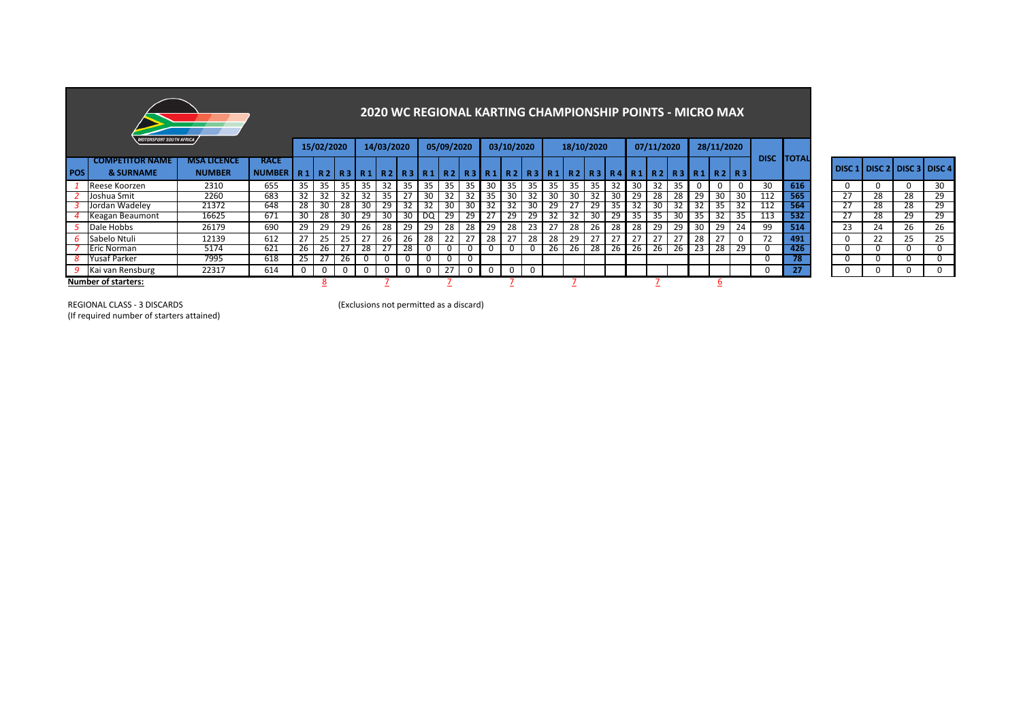|            | <b>MOTORSPORT SOUTH AFRICA</b>                 |                                     |                                                                                                            |    | 15/02/2020 |          |     | <b>2020 WC REGIONAL KARTING CHAMPIONSHIP POINTS - MICRO MAX</b><br>14/03/2020 |     |                 | 05/09/2020 |    |          | 03/10/2020  |    |    | 18/10/2020 |    |     |    | 07/11/2020 |                |     | 28/11/2020   |          |             |              |    |                                     |    |             |
|------------|------------------------------------------------|-------------------------------------|------------------------------------------------------------------------------------------------------------|----|------------|----------|-----|-------------------------------------------------------------------------------|-----|-----------------|------------|----|----------|-------------|----|----|------------|----|-----|----|------------|----------------|-----|--------------|----------|-------------|--------------|----|-------------------------------------|----|-------------|
| <b>POS</b> | <b>COMPETITOR NAME</b><br><b>&amp; SURNAME</b> | <b>MSA LICENCE</b><br><b>NUMBER</b> | <b>RACE</b><br>NUMBER   R1   R2   R3   R1   R2   R3   R1   R2   R3   R1   R2   R3   R1   R2   R3   R4   R1 |    |            |          |     |                                                                               |     |                 |            |    |          |             |    |    |            |    |     |    |            | $R2$ $R3$ $R1$ |     | <b>R2</b> R3 |          | <b>DISC</b> | <b>TOTAL</b> |    | I DISC 1 I DISC 2 I DISC 3 I DISC 4 |    |             |
|            | Reese Koorzen                                  | 2310                                | 655                                                                                                        | 35 | 35         | 35       | 35  | 32                                                                            | -35 | 35              | 35         | 35 | 30       | 35          | 35 | 35 | 35         | 35 | 32  | 30 | 32         | 35             | 0   | 0            | 0        | 30          | 616          | 0  |                                     |    | 30          |
|            | Joshua Smit                                    | 2260                                | 683                                                                                                        | 32 | 32         | 32       | -32 | 35.                                                                           |     | 30              | 32         | 32 | -35      | 30          |    | 30 | 30         | 32 | -30 | 29 | 28         | 28             | 29  | 30           | 30       | 112         | 565          | 27 | 28                                  | 28 | 29          |
|            | Jordan Wadeley                                 | 21372                               | 648                                                                                                        | 28 | 30         | 28       | 30  | 29                                                                            | 32  | 32              | 30         | 30 | 32       | 32          | 3U | 29 |            | 29 | -35 | 32 | 3U         | 32             |     | 35           | -32      | 112         | 564          | 27 | 28                                  | 28 | 29          |
|            | Keagan Beaumont                                | 16625                               | 671                                                                                                        | 30 | 28         | 30       | 29  | 30                                                                            | 30  | LO <sub>Q</sub> | 29         | 29 |          | 29          | 29 | 32 | 32         | 30 | 29  | 35 | -35        | 30             | -35 | 32           | 35       | 113         | 532          | 27 | 28                                  | 29 | 29          |
|            | Dale Hobbs                                     | 26179                               | 690                                                                                                        | 29 | 29         | 29       | 26  | 28                                                                            | 29  | 29              | 28         | 28 | 29       | 28          | 23 | 27 | 28         | 26 | 28  | 28 | 29         | 29             | -30 | 29           | 24       | 99          | 514          | 23 | 24                                  | 26 | 26          |
|            | 6 Sabelo Ntuli                                 | 12139                               | 612                                                                                                        |    | 25         | 25       | 27  | 26                                                                            | 26  | 28              | 22         |    | 28       | 27          | 28 | 28 | 29         | 27 | 27  | 27 | 27         | 27             | 28  | 27           | $\Omega$ | 72          | 491          | 0  | 22                                  | 25 | 25          |
|            | Eric Norman                                    | 5174                                | 621                                                                                                        | 26 | 26         |          | 28  | 27                                                                            | 28  | 0               | 0          |    |          |             |    | 26 | 26         | 28 | 26  | 26 | 26         | 26             | 23  | 28           | 29       | 0           | 426          | 0  |                                     |    | 0           |
|            | <b>Yusaf Parker</b>                            | 7995                                | 618                                                                                                        | 25 |            | 26       | - U | 0                                                                             |     | 0               | 0          | 0  |          |             |    |    |            |    |     |    |            |                |     |              |          | 0           | 78           | 0  |                                     |    | 0           |
|            | Kai van Rensburg                               | 22317                               | 614                                                                                                        | 0  |            | $\Omega$ | - 0 | $\mathbf 0$                                                                   | 0   | $\mathbf 0$     | 27         | 0  | <b>U</b> | $\mathbf 0$ |    |    |            |    |     |    |            |                |     |              |          | 0           | 27           |    |                                     |    | $\mathbf 0$ |
|            | <b>Number of starters:</b>                     |                                     |                                                                                                            |    |            |          |     |                                                                               |     |                 |            |    |          |             |    |    |            |    |     |    |            |                |     |              |          |             |              |    |                                     |    |             |

| DISC <sub>1</sub> | DISC <sub>2</sub> | DISC <sub>3</sub> | DISC <sub>4</sub> |
|-------------------|-------------------|-------------------|-------------------|
| ŋ                 | 0                 | 0                 | 30                |
| 27                | 28                | 28                | 29                |
| 27                | 28                | 28                | 29                |
| 27                | 28                | 29                | 29                |
| 23                | 24                | 26                | 26                |
| 0                 | 22                | 25                | 25                |
| ŋ                 | 0                 | 0                 | 0                 |
| 0                 | 0                 | ŋ                 | ŋ                 |
| ი                 | 0                 | 0                 | 0                 |

REGIONAL CLASS - 3 DISCARDS (Exclusions not permitted as a discard)

(If required number of starters attained)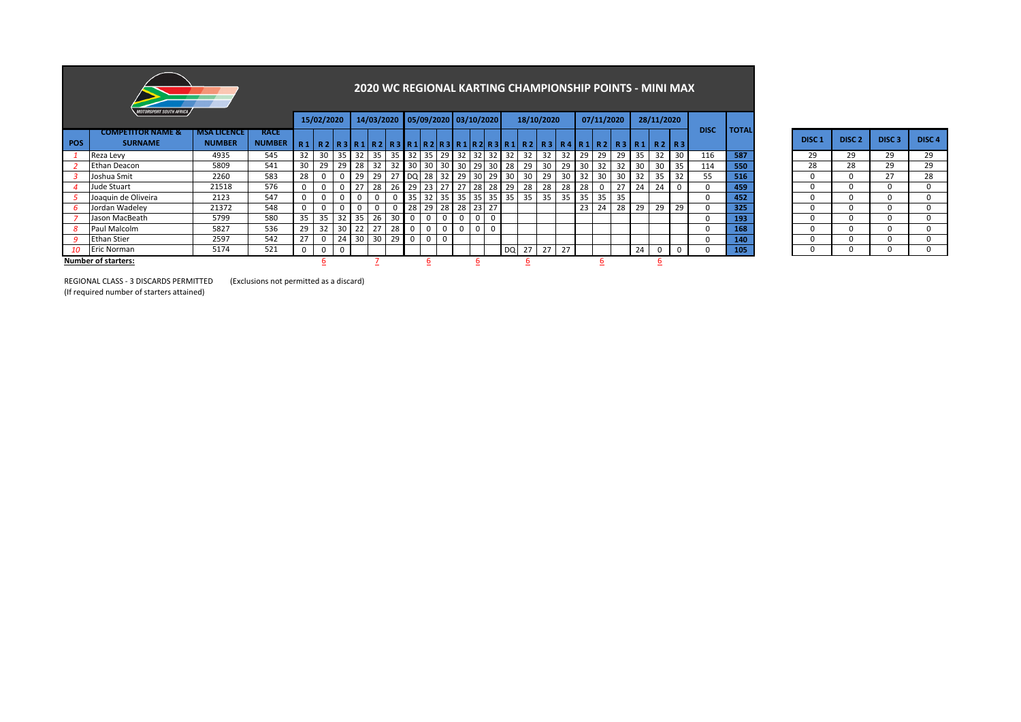|            |                                                |                                     |                              |                |             |          |                                            |            |    |                         |                 |   |                       |             |                 |    |                                                          |    |                 |       |            |       |    | 2020 WC REGIONAL KARTING CHAMPIONSHIP POINTS - MINI MAX |                |             |              |                   |                   |                   |                   |
|------------|------------------------------------------------|-------------------------------------|------------------------------|----------------|-------------|----------|--------------------------------------------|------------|----|-------------------------|-----------------|---|-----------------------|-------------|-----------------|----|----------------------------------------------------------|----|-----------------|-------|------------|-------|----|---------------------------------------------------------|----------------|-------------|--------------|-------------------|-------------------|-------------------|-------------------|
|            | <b>MOTORSPORT SOUTH AFRICA</b>                 |                                     |                              |                | 15/02/2020  |          |                                            | 14/03/2020 |    |                         |                 |   | 05/09/2020 03/10/2020 |             |                 |    | 18/10/2020                                               |    |                 |       | 07/11/2020 |       |    | 28/11/2020                                              |                |             |              |                   |                   |                   |                   |
| <b>POS</b> | <b>COMPETITOR NAME &amp;</b><br><b>SURNAME</b> | <b>MSA LICENCE</b><br><b>NUMBER</b> | <b>RACE</b><br><b>NUMBER</b> | R <sub>1</sub> |             |          |                                            |            |    |                         |                 |   |                       |             |                 |    | R2 R3 R1 R2 R3 R1 R2 R3 R1 R2 R3 R1 R2 R3 R4 R1 R2 R3 R1 |    |                 |       |            |       |    |                                                         | R2 R3          | <b>DISC</b> | <b>TOTAL</b> | DISC <sub>1</sub> | DISC <sub>2</sub> | DISC <sub>3</sub> | DISC <sub>4</sub> |
|            | Reza Levy                                      | 4935                                | 545                          | 32             | 30          |          | 35   32   35   35   32   35   29   32   32 |            |    |                         |                 |   |                       |             | $32$ 32         |    | 32                                                       | 32 |                 | 32 29 | 29         | 29    | 35 | 32                                                      | 30             | 116         | 587          | 29                | 29                | 29                | 29                |
|            | <b>Ethan Deacon</b>                            | 5809                                | 541                          | 30             | 29          |          | 29 28                                      | 32         |    | 32 30                   | 30              |   | 30 30 29              |             | 30 <sup>1</sup> | 28 | 29                                                       | 30 | 29              | -30   |            | 32    | 30 | -30                                                     | $\vert$ 35     | 114         | 550          | 28                | 28                | 29                | 29                |
|            | Joshua Smit                                    | 2260                                | 583                          | 28             | 0           |          | 29                                         | 29         |    |                         | 27 DQ 28        |   | 32 29 30              |             | 29              | 30 | 30                                                       | 29 |                 | 32    | 30         | 30    | 32 | 35                                                      | 32             | 55          | 516          | 0                 | <sup>0</sup>      | 27                | 28                |
|            | Jude Stuart                                    | 21518                               | 576                          | $\mathbf{0}$   | $\mathbf 0$ | $\Omega$ |                                            | 28         | 26 | $\vert$ 29              | 23              |   | 27 27 28              |             | 28 I            | 29 | 28                                                       | 28 | 28              | 28    |            | 27    | 24 | 24                                                      | $\mathbf{0}$   |             | 459          |                   | <sup>0</sup>      | <sup>0</sup>      | $\Omega$          |
|            | Joaquin de Oliveira                            | 2123                                | 547                          | 0              | 0           |          |                                            |            |    | 35                      | 32 <sub>1</sub> |   | 35 35 35              |             | 35 35           |    | 35                                                       | 35 |                 | 35 35 |            | 35 35 |    |                                                         |                |             | 452          |                   | 0                 | 0                 | 0                 |
|            | Jordan Wadeley                                 | 21372                               | 548                          | 0              | $\mathbf 0$ |          |                                            |            | 0  | 28                      | 29              |   | 28 28 23              |             | 27              |    |                                                          |    |                 | 23    | 24         | 28    | 29 | 29                                                      | 29             |             | 325          | $\Omega$          | $\Omega$          | 0                 | 0                 |
|            | Jason MacBeath                                 | 5799                                | 580                          | 35             | 35          |          | 32 35                                      | 26         | 30 | 0                       | 0               |   | ∣ 0                   | $\mathbf 0$ |                 |    |                                                          |    |                 |       |            |       |    |                                                         |                |             | 193          | 0                 | <sup>0</sup>      | $\Omega$          |                   |
|            | Paul Malcolm                                   | 5827                                | 536                          | 29             | 32          |          | 30 22                                      | 27         | 28 | $\mathbf 0$             | $\mathbf 0$     |   | $0$ 0                 | $\mathbf 0$ |                 |    |                                                          |    |                 |       |            |       |    |                                                         |                |             | 168          | U                 | <sup>0</sup>      | 0                 |                   |
|            | <b>Ethan Stier</b>                             | 2597                                | 542                          | 27             | 0           |          | 24 30 30                                   |            | 29 | $\overline{\mathbf{0}}$ | $\mathbf 0$     | U |                       |             |                 |    |                                                          |    |                 |       |            |       |    |                                                         |                |             | 140          | 0                 | $\Omega$          | 0                 | $\Omega$          |
| 10         | <b>Eric Norman</b>                             | 5174                                | 521                          | 0              | 0           | $\Omega$ |                                            |            |    |                         |                 |   |                       |             |                 | DQ | 27                                                       | 27 | 27 <sup>1</sup> |       |            |       | 24 | 0                                                       | $\overline{0}$ |             | 105          | U                 | 0                 | 0                 | 0                 |
|            | <b>Number of starters:</b>                     |                                     |                              |                |             |          |                                            |            |    |                         |                 |   |                       |             |                 |    |                                                          |    |                 |       |            |       |    |                                                         |                |             |              |                   |                   |                   |                   |

| DISC <sub>1</sub> | DISC <sub>2</sub> | DISC <sub>3</sub> | DISC <sub>4</sub> |
|-------------------|-------------------|-------------------|-------------------|
| 29                | 29                | 29                | 29                |
| 28                | 28                | 29                | 29                |
| 0                 | 0                 | 27                | 28                |
| 0                 | 0                 | 0                 | 0                 |
| ŋ                 | 0                 | 0                 | ŋ                 |
| ŋ                 | 0                 | 0                 | ŋ                 |
| ŋ                 | 0                 | 0                 | ŋ                 |
| n                 | 0                 | 0                 | ŋ                 |
| ŋ                 | 0                 | n                 | ŋ                 |
|                   |                   |                   |                   |

REGIONAL CLASS - 3 DISCARDS PERMITTED (Exclusions not permitted as a discard)

(If required number of starters attained)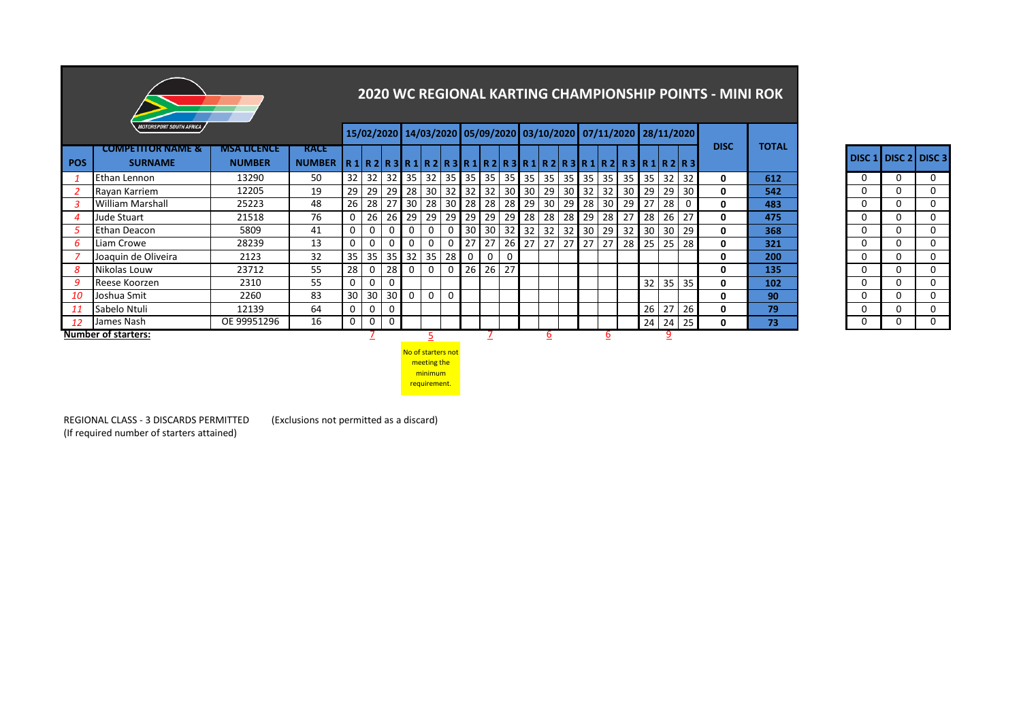|            |                                                |                                     |                                                                          |    |              |                 |          |                 |                 |             |                                              |          |         |          |                 |         |    |                           |       |    |                                                                   | <b>2020 WC REGIONAL KARTING CHAMPIONSHIP POINTS - MINI ROK</b> |              |   |                             |              |
|------------|------------------------------------------------|-------------------------------------|--------------------------------------------------------------------------|----|--------------|-----------------|----------|-----------------|-----------------|-------------|----------------------------------------------|----------|---------|----------|-----------------|---------|----|---------------------------|-------|----|-------------------------------------------------------------------|----------------------------------------------------------------|--------------|---|-----------------------------|--------------|
|            | <b>MOTORSPORT SOUTH AFRICA</b>                 |                                     |                                                                          |    |              |                 |          |                 |                 |             |                                              |          |         |          |                 |         |    |                           |       |    | 15/02/2020 14/03/2020 05/09/2020 03/10/2020 07/11/2020 28/11/2020 |                                                                |              |   |                             |              |
| <b>POS</b> | <b>COMPETITOR NAME &amp;</b><br><b>SURNAME</b> | <b>MSA LICENCE</b><br><b>NUMBER</b> | <b>RACE</b><br>NUMBER $R1R2R3R1R2R3R1R2R3R1R2R3R1R2R3R1R2R3R1R2R3R1R2R3$ |    |              |                 |          |                 |                 |             |                                              |          |         |          |                 |         |    |                           |       |    |                                                                   | <b>DISC</b>                                                    | <b>TOTAL</b> |   | <b>DISC 1 DISC 2 DISC 3</b> |              |
|            | Ethan Lennon                                   | 13290                               | 50                                                                       |    |              |                 |          |                 |                 |             | 32 32 32 35 32 35 35 35 35 35 35 35 35 35 35 |          |         |          |                 |         |    | $35 \mid 35 \mid 35 \mid$ |       |    | 32 32                                                             | 0                                                              | 612          | 0 | 0                           | 0            |
|            | Rayan Karriem                                  | 12205                               | 19                                                                       | 29 | 29           | 29              | 28       | 30 <sup>1</sup> | 32 <sub>1</sub> | 32          | 32                                           |          | 30 30   | 29       | 30 32           |         | 32 | 30 <sup>1</sup>           | 29    | 29 | 30                                                                | 0                                                              | 542          |   | 0                           | $\Omega$     |
|            | <b>William Marshall</b>                        | 25223                               | 48                                                                       |    | $26 \mid 28$ | 27              | 30       | 28              |                 | $30$ 28     | 28                                           |          | 28 29   | 30       |                 | 29 28   | 30 | 29                        | 27    | 28 |                                                                   | 0                                                              | 483          |   | 0                           | $\Omega$     |
|            | Jude Stuart                                    | 21518                               | 76                                                                       |    | 26           | <b>26</b>       | 29       | 29              | 29 I            | 29          | 29                                           |          | 29 28   | 28       |                 | $28$ 29 | 28 | 27                        | 28    | 26 | 27                                                                | 0                                                              | 475          |   | 0                           | $\Omega$     |
|            | Ethan Deacon                                   | 5809                                | 41                                                                       | 0  | 0            | 0               |          | 0               |                 | 30          | 30                                           |          | $32$ 32 | 32       | 32 <sub>1</sub> | 30      | 29 | 32                        | 30    | 30 | 29                                                                | 0                                                              | 368          |   | 0                           | $\Omega$     |
| 6          | Liam Crowe                                     | 28239                               | 13                                                                       | 0  | 0            | $\mathbf 0$     | $\Omega$ | $\Omega$        | $\overline{0}$  | 27          | 27                                           |          | $26$ 27 | 27       | 27 27           |         | 27 |                           | 28 25 | 25 | 28                                                                | 0                                                              | 321          |   | 0                           | $\Omega$     |
|            | Joaquin de Oliveira                            | 2123                                | 32                                                                       |    |              | $35$ 35 35      | 32       | 35              | 28              | $\mathbf 0$ | 0                                            | $\Omega$ |         |          |                 |         |    |                           |       |    |                                                                   | 0                                                              | 200          |   | 0                           | $\mathbf{0}$ |
| 8          | Nikolas Louw                                   | 23712                               | 55                                                                       | 28 | 0            | 28              | 0        | 0               | 0               | 26          | 26                                           | 27       |         |          |                 |         |    |                           |       |    |                                                                   | 0                                                              | 135          |   | 0                           | $\Omega$     |
|            | Reese Koorzen                                  | 2310                                | 55                                                                       |    | 0            | $\Omega$        |          |                 |                 |             |                                              |          |         |          |                 |         |    |                           | 32    | 35 | 35                                                                | 0                                                              | 102          |   | 0                           | $\mathbf{0}$ |
| 10         | Joshua Smit                                    | 2260                                | 83                                                                       |    | 30 30        | 30 <sup>1</sup> |          | 0               | 0               |             |                                              |          |         |          |                 |         |    |                           |       |    |                                                                   | 0                                                              | 90           |   | 0                           | $\mathbf{0}$ |
| 11         | Sabelo Ntuli                                   | 12139                               | 64                                                                       | 0  | 0            | $\Omega$        |          |                 |                 |             |                                              |          |         |          |                 |         |    |                           | 26    | 27 | 26                                                                | 0                                                              | 79           |   | 0                           | $\Omega$     |
| 12         | James Nash                                     | OE 99951296                         | 16                                                                       |    | 0            | $\mathbf 0$     |          |                 |                 |             |                                              |          |         |          |                 |         |    |                           | 24    | 24 | 25                                                                | 0                                                              | 73           |   | 0                           | $\Omega$     |
|            | <b>Number of starters:</b>                     |                                     |                                                                          |    |              |                 |          | ∍               |                 |             |                                              |          |         | <u>6</u> |                 |         | 6  |                           |       | 9  |                                                                   |                                                                |              |   |                             |              |

| DISC <sub>1</sub> | DISC <sub>2</sub> | DISC <sub>3</sub> |
|-------------------|-------------------|-------------------|
| 0                 | 0                 | 0                 |
| 0                 | 0                 | 0                 |
| 0                 | 0                 | 0                 |
| 0                 | 0                 | 0                 |
| 0                 | 0                 | 0                 |
| 0                 | 0                 | 0                 |
| 0                 | 0                 | 0                 |
| 0                 | 0                 | 0                 |
| 0                 | 0                 | 0                 |
| 0                 | 0                 | 0                 |
| 0                 | 0                 | 0                 |
| 0                 | 0                 | በ                 |

<u> 1989 - Johann Stein, marwolaethau a bhann an t-Amhair Aonaichte an t-Amhair Aonaichte an t-Amhair Aonaichte a</u>

No of starters not meeting the minimum requirement.

REGIONAL CLASS - 3 DISCARDS PERMITTED (Exclusions not permitted as a discard) (If required number of starters attained)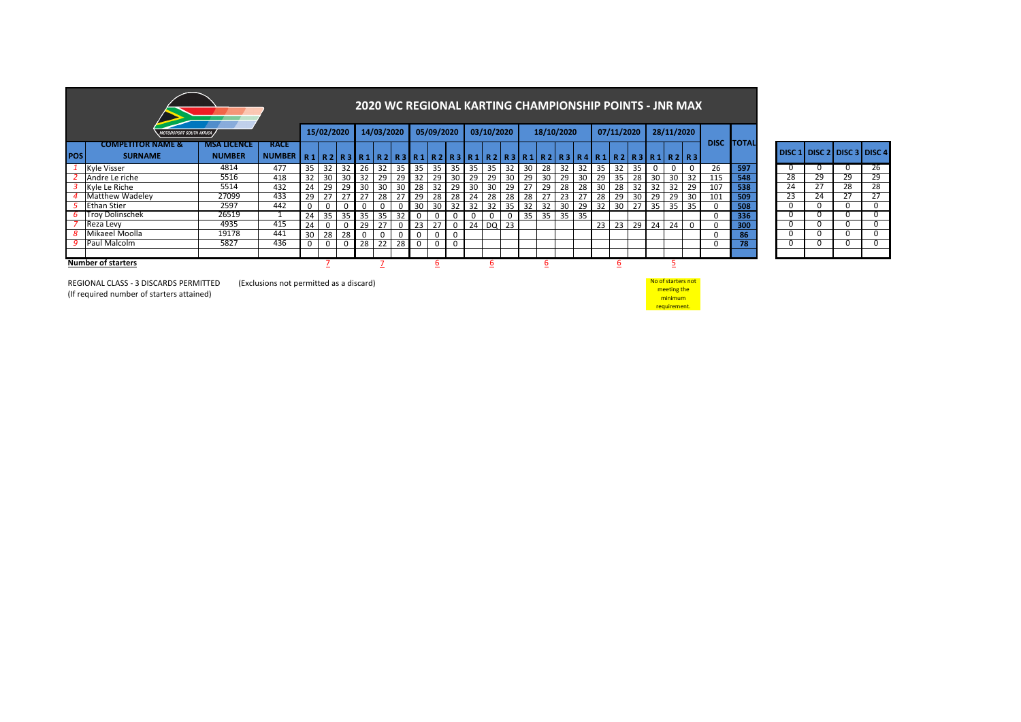|            |                                |                    |                                                                                                                                      |     |                      |       |    |                 |    |       |            |                 | <b>2020 WC REGIONAL KARTING CHAMPIONSHIP POINTS - JNR MAX</b> |            |                 |       |    |            |                 |     |            |                 |       |                 |                 |              |                   |    |    |                                    |          |
|------------|--------------------------------|--------------------|--------------------------------------------------------------------------------------------------------------------------------------|-----|----------------------|-------|----|-----------------|----|-------|------------|-----------------|---------------------------------------------------------------|------------|-----------------|-------|----|------------|-----------------|-----|------------|-----------------|-------|-----------------|-----------------|--------------|-------------------|----|----|------------------------------------|----------|
|            | <b>IOTORSPORT SOUTH AFRICA</b> |                    |                                                                                                                                      |     | 15/02/2020           |       |    | 14/03/2020      |    |       | 05/09/2020 |                 |                                                               | 03/10/2020 |                 |       |    | 18/10/2020 |                 |     | 07/11/2020 |                 |       | 28/11/2020      |                 |              |                   |    |    |                                    |          |
|            | <b>COMPETITOR NAME &amp;</b>   | <b>MSA LICENCE</b> | <b>RACE</b>                                                                                                                          |     |                      |       |    |                 |    |       |            |                 |                                                               |            |                 |       |    |            |                 |     |            |                 |       |                 |                 |              | <b>DISC TOTAL</b> |    |    | <b>DISC 1 DISC 2 DISC 3 DISC 4</b> |          |
| <b>POS</b> | <b>SURNAME</b>                 | <b>NUMBER</b>      | NUMBER   R 1   R 2   R 3   R 1   R 2   R 3   R 1   R 2   R 3   R 1   R 2   R 3   R 1   R 2   R 3   R 4   R 2   R 3   R 1   R 2   R 3 |     |                      |       |    |                 |    |       |            |                 |                                                               |            |                 |       |    |            |                 |     |            |                 |       |                 |                 |              |                   |    |    |                                    |          |
|            | Kyle Visser                    | 4814               | 477                                                                                                                                  | -35 |                      | 32 32 | 26 | 32 I            |    | 35 35 | 35         | 35 <sup>1</sup> | 35                                                            | 35         |                 | 32 30 | 28 | 32         | 32 35           |     | 32         | 35 <sup>1</sup> | 0     | 0               |                 | 26           | 597               |    |    |                                    | 26       |
|            | Andre Le riche                 | 5516               | 418                                                                                                                                  | 32  | -30 I                | 30    | 32 | 29              | 29 | 32    | 29         | 30              | 29                                                            | 29         | 30 I            | 29    | 30 | 29         | 30 <sup>1</sup> | 29  | 35         | 28              | 30    | 30              | 32              | 115          | 548               | 28 | 29 | 29                                 | 29       |
|            | Kyle Le Riche                  | 5514               | 432                                                                                                                                  | 24  | 29                   | 29    | 30 | 30 <sup>°</sup> | 30 | 28    | 32         | 29 I            | 30                                                            | 30         | 29 <sub>1</sub> | 27    | 29 | 28         | 28              | 30  | 28         | 32              | 32    | -32             | 29              | 107          | 538               | 24 | 27 | 28                                 | 28       |
|            | <b>Matthew Wadeley</b>         | 27099              | 433                                                                                                                                  | 29  |                      | 27    |    | 28              |    | 29    | 28         | 28              | 24                                                            | 28         | 28              | 28    |    | 23         |                 | 28  | 29         | 30 <sub>1</sub> | 29    | 29              | 30 <sup>1</sup> | 101          | 509               | 23 | 24 | 27                                 | 27       |
|            | <b>Ethan Stier</b>             | 2597               | 442                                                                                                                                  |     |                      |       |    | 0               |    | 30    | 30         | 32              | 32                                                            | 32         | 35 <sub>1</sub> | 32    | 32 | 30         | 29              | -32 | 30         |                 | 35    | 35 <sup>1</sup> | 35              | $\Omega$     | 508               | 0  |    | 0                                  | $\Omega$ |
|            | <b>Troy Dolinschek</b>         | 26519              |                                                                                                                                      | 24  | $\cdot$ 1 35 $\cdot$ | 35    | 35 | 35              | 32 |       |            |                 | $\mathbf 0$                                                   |            |                 | 35    | 35 | 35 35      |                 |     |            |                 |       |                 |                 | $\Omega$     | 336               | 0  |    | U                                  | 0        |
|            | Reza Levy                      | 4935               | 415                                                                                                                                  | 24  |                      |       | 29 |                 |    | 23    | 27         |                 | 24                                                            |            | DQ 23           |       |    |            |                 |     | 23 23      |                 | 29 24 | 24              |                 | $\mathbf{0}$ | 300               | 0  |    |                                    | 0        |
|            | Mikaeel Moolla                 | 19178              | 441                                                                                                                                  | 30  | 28                   | 28    |    | $\Omega$        |    |       |            |                 |                                                               |            |                 |       |    |            |                 |     |            |                 |       |                 |                 | $\Omega$     | 86                | 0  |    |                                    | $\Omega$ |
|            | Paul Malcolm                   | 5827               | 436                                                                                                                                  |     |                      |       | 28 | 22 <sub>1</sub> | 28 |       |            |                 |                                                               |            |                 |       |    |            |                 |     |            |                 |       |                 |                 | 0            | 78                | 0  |    |                                    | $\Omega$ |
|            |                                |                    |                                                                                                                                      |     |                      |       |    |                 |    |       |            |                 |                                                               |            |                 |       |    |            |                 |     |            |                 |       |                 |                 |              |                   |    |    |                                    |          |
|            | <b>Number of starters</b>      |                    |                                                                                                                                      |     |                      |       |    |                 |    |       |            |                 |                                                               |            |                 |       |    |            |                 |     |            |                 |       |                 |                 |              |                   |    |    |                                    |          |

|        | 86 |
|--------|----|
|        | 78 |
|        |    |
|        |    |
|        |    |
| rs not |    |
| $\sim$ |    |

No of starter **meeting the** minimum requirement.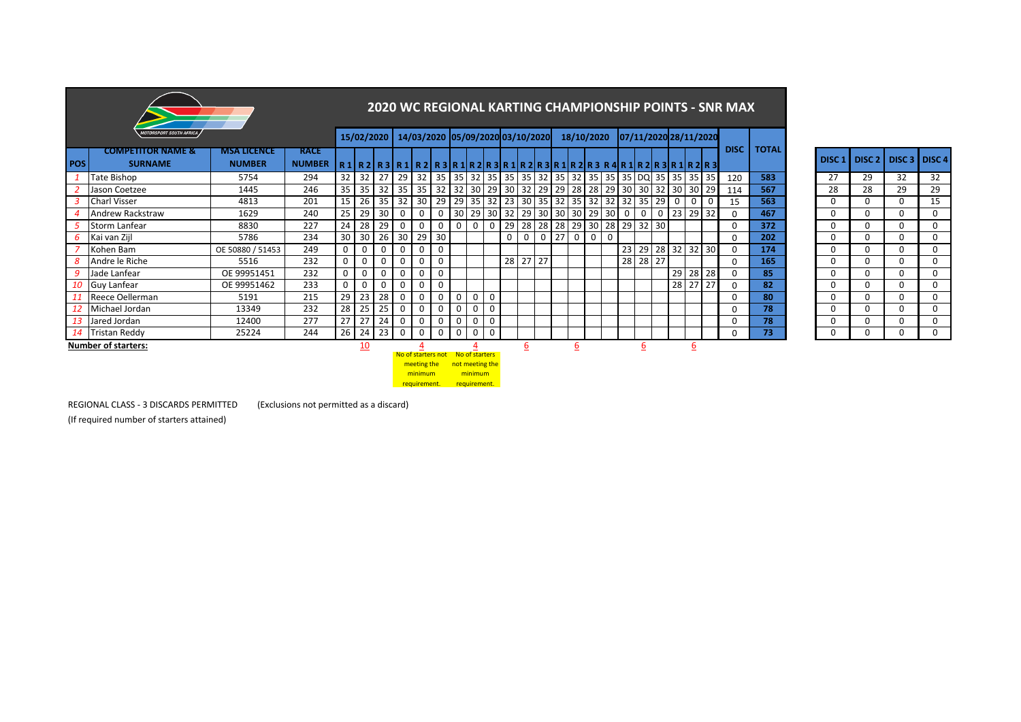|            |                                                |                                     |                              |              |                   |                 |      |                                                                                                                                                                                                                              |                |                |                                                                     |             |    |                |  |            |             |                            |             |                |       |             |                  |                       | <b>2020 WC REGIONAL KARTING CHAMPIONSHIP POINTS - SNR MAX</b> |              |                   |                   |          |               |
|------------|------------------------------------------------|-------------------------------------|------------------------------|--------------|-------------------|-----------------|------|------------------------------------------------------------------------------------------------------------------------------------------------------------------------------------------------------------------------------|----------------|----------------|---------------------------------------------------------------------|-------------|----|----------------|--|------------|-------------|----------------------------|-------------|----------------|-------|-------------|------------------|-----------------------|---------------------------------------------------------------|--------------|-------------------|-------------------|----------|---------------|
|            | <i><b>MOTORSPORT SOUTH AFRICA</b></i>          |                                     |                              |              |                   |                 |      | 15/02/2020 14/03/2020 05/09/2020 03/10/2020                                                                                                                                                                                  |                |                |                                                                     |             |    |                |  | 18/10/2020 |             |                            |             |                |       |             |                  | 07/11/2020 28/11/2020 |                                                               |              |                   |                   |          |               |
| <b>POS</b> | <b>COMPETITOR NAME &amp;</b><br><b>SURNAME</b> | <b>MSA LICENCE</b><br><b>NUMBER</b> | <b>RACE</b><br><b>NUMBER</b> |              |                   |                 |      | R 1    R 2    R 3    R 1    R 2    R 3    R 1    R 2    R 3    R 1    R 2    R 3    R 4    R 1    R 2    R 3    R 2    R 3    R 3    R 3    R 3    R 3    R 3    R 3    R 3    R 3    R 3    R 3    R 3    R 3    R 3    R 3 |                |                |                                                                     |             |    |                |  |            |             |                            |             |                |       |             |                  |                       | <b>DISC</b>                                                   | <b>TOTAL</b> | DISC <sub>1</sub> | DISC <sub>2</sub> |          | DISC 3 DISC 4 |
|            | Tate Bishop                                    | 5754                                | 294                          |              | $32$ 32           |                 |      |                                                                                                                                                                                                                              |                |                |                                                                     |             |    |                |  |            |             |                            |             |                |       |             |                  | 35                    | 120                                                           | 583          | 27                | 29                | 32       | 32            |
|            | Jason Coetzee                                  | 1445                                | 246                          |              | $35$ 35           |                 |      | $32$ 35 35                                                                                                                                                                                                                   |                |                | 32 32 30 29 30 32 29 29 28 28 29 30 30 32 30 30                     |             |    |                |  |            |             |                            |             |                |       |             |                  | 29                    | 114                                                           | 567          | 28                | 28                | 29       | 29            |
|            | <b>Charl Visser</b>                            | 4813                                | 201                          |              | $15 \mid 26 \mid$ |                 |      | 35 32 30                                                                                                                                                                                                                     |                |                | 29   29   35   32   23   30   35   32   35   32   32   32   35   29 |             |    |                |  |            |             |                            |             |                |       | $\mathbf 0$ | $\mathbf 0$      | $\mathbf 0$           | 15                                                            | 563          | $\mathbf 0$       | 0                 | 0        | 15            |
|            | Andrew Rackstraw                               | 1629                                | 240                          |              | 25 29             | 30 <sup>1</sup> | 0    | 0                                                                                                                                                                                                                            | 0              | 30             | 29 30 32                                                            |             |    |                |  |            |             | 29 30 30 30 29 30          | $\mathbf 0$ | $\mathbf 0$    | 0     | 23          | 29               | 32                    |                                                               | 467          | $\mathbf 0$       | 0                 | 0        | 0             |
|            | <b>Storm Lanfear</b>                           | 8830                                | 227                          |              | 24 28             | 29              | 0    | $\mathbf 0$                                                                                                                                                                                                                  | $\Omega$       | $\mathbf 0$    | $\mathbf 0$                                                         | $\mathbf 0$ | 29 |                |  |            |             | 28 28 28 29 30 28 29 32 30 |             |                |       |             |                  |                       |                                                               | 372          | $\mathbf 0$       | $\Omega$          | 0        | 0             |
| 6          | Kai van Zijl                                   | 5786                                | 234                          |              | 30 30             |                 |      | 26 30 29                                                                                                                                                                                                                     | 30             |                |                                                                     |             | 0  | $\overline{0}$ |  | $0$ 27 0   | $\mathbf 0$ | $\mathbf 0$                |             |                |       |             |                  |                       |                                                               | 202          | $\mathbf 0$       | 0                 | 0        | 0             |
|            | Kohen Bam                                      | OE 50880 / 51453                    | 249                          | $\mathbf{0}$ | 0                 | 0               | 0    | $\mathbf 0$                                                                                                                                                                                                                  | 0              |                |                                                                     |             |    |                |  |            |             |                            |             | 23 29 28 32 32 |       |             |                  | 30                    |                                                               | 174          | $\mathbf 0$       | 0                 | 0        | 0             |
|            | Andre le Riche                                 | 5516                                | 232                          | 0            | 0                 | $\Omega$        | 0    | 0                                                                                                                                                                                                                            | $\Omega$       |                |                                                                     |             | 28 | $27$   27      |  |            |             |                            | 28          |                | 28 27 |             |                  |                       |                                                               | 165          | $\mathbf 0$       | $\Omega$          | 0        | 0             |
| 9          | Jade Lanfear                                   | OE 99951451                         | 232                          | $\mathbf{0}$ | 0                 | $\Omega$        | 0    | 0                                                                                                                                                                                                                            | 0              |                |                                                                     |             |    |                |  |            |             |                            |             |                |       |             | 29 28            | 28                    |                                                               | 85           | $\mathbf 0$       | 0                 | $\Omega$ | 0             |
| 10         | <b>Guy Lanfear</b>                             | OE 99951462                         | 233                          | 0            | 0                 | $\Omega$        | 0    | 0                                                                                                                                                                                                                            | 0              |                |                                                                     |             |    |                |  |            |             |                            |             |                |       | 28          | 27               | 27                    | $\Omega$                                                      | 82           | $\mathbf 0$       | $\mathbf 0$       | 0        | $\Omega$      |
|            | Reece Oellerman                                | 5191                                | 215                          | 29           | 23                | 28              | 0    | $\mathbf 0$                                                                                                                                                                                                                  | $\Omega$       | $\mathbf 0$    | 0                                                                   | $\mathbf 0$ |    |                |  |            |             |                            |             |                |       |             |                  |                       |                                                               | 80           | $\mathbf 0$       | $\Omega$          | 0        | 0             |
|            | Michael Jordan                                 | 13349                               | 232                          | 28           | 25                | 25              | 0    | $\mathbf 0$                                                                                                                                                                                                                  | $\Omega$       | $\mathbf 0$    | 0                                                                   | $\mathbf 0$ |    |                |  |            |             |                            |             |                |       |             |                  |                       |                                                               | 78           | $\mathbf 0$       | 0                 | 0        | 0             |
| 13         | Jared Jordan                                   | 12400                               | 277                          | 27           | 27                | 24              | 0    | 0                                                                                                                                                                                                                            | 0              | $\mathbf 0$    | 0                                                                   | $\mathbf 0$ |    |                |  |            |             |                            |             |                |       |             |                  |                       |                                                               | 78           | $\mathbf 0$       | 0                 | 0        | $\Omega$      |
| 14         | <b>Tristan Reddy</b>                           | 25224                               | 244                          |              | $26 \mid 24$      |                 | 2300 | $\mathbf 0$                                                                                                                                                                                                                  | $\overline{0}$ | $\overline{0}$ | 0                                                                   | $\mathbf 0$ |    |                |  |            |             |                            |             |                |       |             |                  |                       |                                                               | 73           | 0                 | 0                 | 0        | $\Omega$      |
|            | <b>Number of starters:</b>                     |                                     |                              |              | 10                |                 |      | No of starters not No of starters<br>meeting the<br>minimum<br>requirement.                                                                                                                                                  |                |                | not meeting the<br>minimum<br>requirement.                          |             |    | 6              |  | <u>6</u>   |             |                            |             | 6              |       |             | $6 \overline{6}$ |                       |                                                               |              |                   |                   |          |               |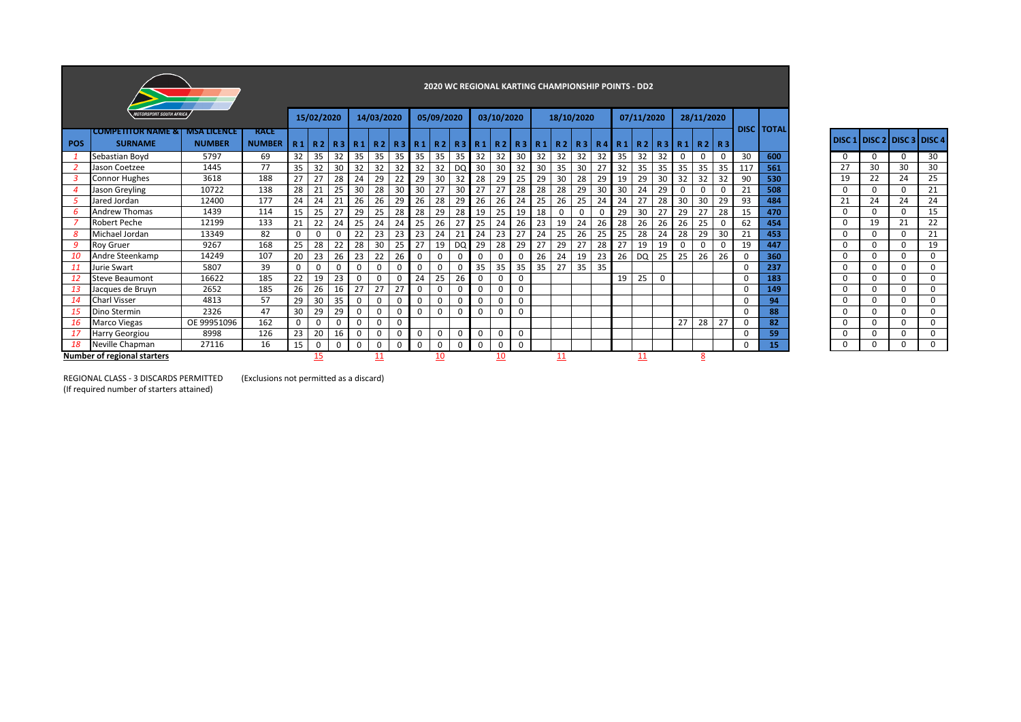|            |                                                              |               |                              |             |            |          |              |            |                 |          |            |           |    |             |             |    | 2020 WC REGIONAL KARTING CHAMPIONSHIP POINTS - DD2 |          |          |    |            |          |             |             |          |          |                   |          |                           |          |          |
|------------|--------------------------------------------------------------|---------------|------------------------------|-------------|------------|----------|--------------|------------|-----------------|----------|------------|-----------|----|-------------|-------------|----|----------------------------------------------------|----------|----------|----|------------|----------|-------------|-------------|----------|----------|-------------------|----------|---------------------------|----------|----------|
|            | <b>MOTORSPORT SOUTH AFRICA</b>                               |               |                              |             | 15/02/2020 |          |              | 14/03/2020 |                 |          | 05/09/2020 |           |    | 03/10/2020  |             |    | 18/10/2020                                         |          |          |    | 07/11/2020 |          |             | 28/11/2020  |          |          |                   |          |                           |          |          |
| <b>POS</b> | <b>COMPETITOR NAME &amp; LIMSA LICENCE</b><br><b>SURNAME</b> | <b>NUMBER</b> | <b>RACE</b><br><b>NUMBER</b> |             |            |          |              |            |                 |          |            |           |    |             |             |    | R1 R2 R3 R1 R2 R3 R1 R2 R3 R1 R2 R3 R1 R2 R3 R4 R1 |          |          |    | R 2        |          |             | R3 R1 R2 R3 |          |          | <b>DISC TOTAL</b> |          | DISC 1 DISC 2 DISC 3 DISC |          |          |
|            | Sebastian Boyd                                               | 5797          | 69                           | 32          | 35         | 32       | 35           | 35         | 35 <sup>1</sup> | 35       | 35         | 35        | 32 | 32          | 30          | 32 | 32                                                 | 32       | 32       | 35 | 32         | 32       | $\mathbf 0$ |             |          | 30       | 600               |          |                           | $\Omega$ | 30       |
|            | Jason Coetzee                                                | 1445          | 77                           | 35          | 32         | 30       | 32           | 32         | 32              | 32       | 32         | DQ        | 30 | 30          | 32          | 30 | 35                                                 | 30       | 27       | 32 | 35         | 35       | 35          | 35          | 35       | 117      | 561               | 27       | 30                        | 30       | 30       |
|            | <b>Connor Hughes</b>                                         | 3618          | 188                          | 27          | 27         | 28       | 24           | 29         | 22              | 29       | 30         | 32        | 28 | 29          | 25          | 29 | 30                                                 | 28       | 29       | 19 | 29         | 30       | 32          | 32          | 32       | 90       | 530               | 19       | 22                        | 24       | 25       |
|            | Jason Greyling                                               | 10722         | 138                          | 28          | 21         | 25       | 30           | 28         | 30              | 30       | 27         | 30        | 27 | 27          | 28          | 28 | 28                                                 | 29       | 30       | 30 | 24         | 29       | 0           |             |          | 21       | 508               | 0        | $\Omega$                  | 0        | 21       |
|            | Jared Jordan                                                 | 12400         | 177                          | 24          | 24         | 21       | 26           | 26         | 29              | 26       | 28         | 29        | 26 | 26          | 24          | 25 | 26                                                 | 25       | 24       | 24 | 27         | 28       | 30          | 30          | 29       | 93       | 484               | 21       | 24                        | 24       | 24       |
| 6          | <b>Andrew Thomas</b>                                         | 1439          | 114                          | 15          | 25         | 27       | 29           | 25         | 28              | 28       | 29         | 28        | 19 | 25          | 19          | 18 |                                                    | $\Omega$ | $\Omega$ | 29 | 30         | 27       | 29          | 27          | 28       | 15       | 470               | 0        | $\Omega$                  | $\Omega$ | 15       |
|            | <b>Robert Peche</b>                                          | 12199         | 133                          | 21          | 22         | 24       | 25           | 24         | 24              | 25       | 26         | 27        | 25 | 24          | 26          | 23 | 19                                                 | 24       | 26       | 28 | 26         | 26       | 26          | 25          |          | 62       | 454               |          | 19                        | 21       | 22       |
| 8          | Michael Jordan                                               | 13349         | 82                           | 0           | $\Omega$   |          | 22           | 23         | 23              | 23       | 24         | 21        | 24 | 23          | 27          | 24 | 25                                                 | 26       | 25       | 25 | 28         | 24       | 28          | 29          | 30       | 21       | 453               | $\Omega$ | $\Omega$                  | 0        | 21       |
| q          | <b>Roy Gruer</b>                                             | 9267          | 168                          | 25          | 28         | 22       | 28           | 30         | 25              | 27       | 19         | <b>DQ</b> | 29 | 28          | 29          | 27 | 29                                                 | 27       | 28       | 27 | 19         | 19       | 0           | $\Omega$    | $\Omega$ | 19       | 447               | $\Omega$ | $\Omega$                  | $\Omega$ | 19       |
| 10         | Andre Steenkamp                                              | 14249         | 107                          | 20          | 23         | 26       | 23           | 22         | 26              | 0        | 0          | 0         |    | $\Omega$    | 0           | 26 | 24                                                 | 19       | 23       | 26 | DQ         | 25       | 25          | 26          | 26       | 0        | 360               |          |                           | 0        | $\Omega$ |
| 11         | Jurie Swart                                                  | 5807          | 39                           | $\mathbf 0$ | $\Omega$   | 0        | $\Omega$     | $\Omega$   |                 | $\Omega$ | 0          | 0         | 35 | 35          | 35          | 35 | 27                                                 | 35       | 35       |    |            |          |             |             |          | $\Omega$ | 237               | $\Omega$ | $\Omega$                  | $\Omega$ | $\Omega$ |
| -12        | <b>Steve Beaumont</b>                                        | 16622         | 185                          | 22          | 19         | 23       | $\Omega$     | $\Omega$   |                 | 24       | 25         | 26        |    | $\mathbf 0$ | 0           |    |                                                    |          |          | 19 | 25         | $\Omega$ |             |             |          | $\Omega$ | 183               | $\Omega$ | $\Omega$                  | 0        | $\Omega$ |
| -13        | Jacques de Bruyn                                             | 2652          | 185                          | 26          | 26         | 16       | 27           | 27         | 27              | 0        | 0          | 0         |    | 0           | 0           |    |                                                    |          |          |    |            |          |             |             |          | 0        | 149               | 0        |                           | 0        | 0        |
| 14         | <b>Charl Visser</b>                                          | 4813          | 57                           | 29          | 30         | 35       | $\Omega$     | $\Omega$   |                 | $\Omega$ | 0          | 0         |    | 0           | 0           |    |                                                    |          |          |    |            |          |             |             |          | $\Omega$ | 94                | $\Omega$ | $\Omega$                  | $\Omega$ | $\Omega$ |
| -15        | Dino Stermin                                                 | 2326          | 47                           | 30          | 29         | 29       | $\Omega$     | $\Omega$   |                 | $\Omega$ | 0          | 0         |    | $\Omega$    | $\mathbf 0$ |    |                                                    |          |          |    |            |          |             |             |          | $\Omega$ | 88                | 0        |                           | 0        | $\Omega$ |
| -16        | <b>Marco Viegas</b>                                          | OE 99951096   | 162                          | $\mathbf 0$ | 0          | $\Omega$ | $\Omega$     | 0          | 0               |          |            |           |    |             |             |    |                                                    |          |          |    |            |          | 27          | 28          | 27       | $\Omega$ | 82                | 0        |                           | $\Omega$ | $\Omega$ |
| -17        | <b>Harry Georgiou</b>                                        | 8998          | 126                          | 23          | 20         | 16       | $\mathbf{0}$ | $\Omega$   |                 | 0        | 0          | 0         |    | 0           | 0           |    |                                                    |          |          |    |            |          |             |             |          | $\Omega$ | 59                | 0        | $\Omega$                  | $\Omega$ | $\Omega$ |
| -18        | Neville Chapman                                              | 27116         | 16                           | 15          | 0          | 0        | $\Omega$     | 0          | n               | 0        | 0          | 0         |    | 0           | $\mathbf 0$ |    |                                                    |          |          |    |            |          |             |             |          | 0        | 15                | $\Omega$ | $\Omega$                  | $\Omega$ | $\Omega$ |
|            | <b>Number of regional starters</b>                           |               |                              |             | 15         |          |              |            |                 |          | <u>10</u>  |           |    | 10          |             |    | 11                                                 |          |          |    | 11         |          |             | <u>8</u>    |          |          |                   |          |                           |          |          |

DISC 1 DISC 2 DISC 3 DISC 4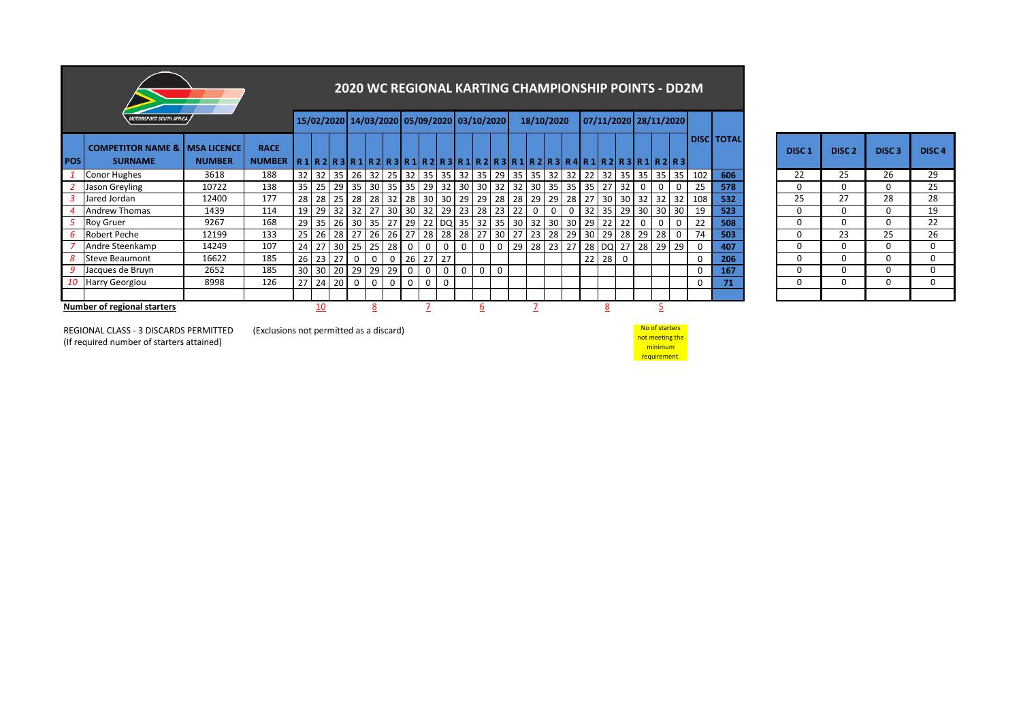|             |                                                              |               | <b>2020 WC REGIONAL KARTING CHAMPIONSHIP POINTS - DD2M</b> |                                                            |  |          |                                                                               |              |             |             |             |             |                         |             |             |                   |             |    |          |       |       |             |                |                       |                    |                      |  |                   |                   |                   |             |
|-------------|--------------------------------------------------------------|---------------|------------------------------------------------------------|------------------------------------------------------------|--|----------|-------------------------------------------------------------------------------|--------------|-------------|-------------|-------------|-------------|-------------------------|-------------|-------------|-------------------|-------------|----|----------|-------|-------|-------------|----------------|-----------------------|--------------------|----------------------|--|-------------------|-------------------|-------------------|-------------|
|             | <i><b>MOTORSPORT SOUTH AFRICA</b></i>                        |               |                                                            |                                                            |  |          | 15/02/2020 14/03/2020 05/09/2020 03/10/2020                                   |              |             |             |             |             |                         |             |             |                   | 18/10/2020  |    |          |       |       |             |                | 07/11/2020 28/11/2020 |                    |                      |  |                   |                   |                   |             |
| <b>IPOS</b> | <b>COMPETITOR NAME &amp;   MSA LICENCE</b><br><b>SURNAME</b> | <b>NUMBER</b> | <b>RACE</b><br><b>NUMBER</b>                               | $R1R2R3R1R2R3R1R2R3R1R2R3R1R2R3R1R2R3R1R2R3R4R1R2R3R1R2R3$ |  |          |                                                                               |              |             |             |             |             |                         |             |             |                   |             |    |          |       |       |             |                |                       |                    | <b>I DISCI TOTAL</b> |  | DISC <sub>1</sub> | DISC <sub>2</sub> | DISC <sub>3</sub> | <b>DISC</b> |
|             | <b>Conor Hughes</b>                                          | 3618          | 188                                                        |                                                            |  |          | 32 32 35 26 32 25 32                                                          |              |             |             | 35          |             |                         | 35 32 35    |             | $29 \mid 35 \mid$ | 35 32 32 22 |    |          |       |       |             |                | 32 35 35 35 35        | 102                | 606                  |  | 22                | 25                | 26                | 29          |
|             | Jason Greyling                                               | 10722         | 138                                                        |                                                            |  |          | 35 25 29 35 30 35 35 29                                                       |              |             |             |             |             |                         |             |             | 32 30 30 32 32 30 |             |    | 35 35 35 |       | 127   | 32 I        | 0              |                       | 25                 | 578                  |  | 0                 | $\Omega$          | $\Omega$          | 25          |
|             | Jared Jordan                                                 | 12400         | 177                                                        | 28                                                         |  |          | 28   25   28   28   32   28   30   30   29   29   28   28   29   29   28   27 |              |             |             |             |             |                         |             |             |                   |             |    |          |       |       |             |                |                       | 30 30 32 32 32 108 | 532                  |  | 25                | 27                | 28                | 28          |
|             | <b>Andrew Thomas</b>                                         | 1439          | 114                                                        | 19                                                         |  |          | 29 32 32 27 30 30 32                                                          |              |             |             |             |             | 29 23                   | 28          | 23          | 22                | 0           | 0  |          | 32    | $-35$ |             |                | 29 30 30 30           | 19                 | 523                  |  | 0                 | $\Omega$          |                   | 19          |
|             | <b>Roy Gruer</b>                                             | 9267          | 168                                                        |                                                            |  |          | 29 35 26 30 35 27 29                                                          |              |             |             |             |             |                         |             |             | 22 DQ 35 32 35 30 | 32          |    | 30 30    | 29    | 22    | 22          | $\overline{0}$ |                       | 22                 | 508                  |  |                   | 0                 |                   | 22          |
|             | Robert Peche                                                 | 12199         | 133                                                        |                                                            |  |          | 25 26 28 27 26 26 27                                                          |              |             |             | 28          |             | 28 28                   | 27          | 30          | 27 23 28          |             |    |          | 29 30 |       |             | 29 28 29 28    |                       | 74                 | 503                  |  | <sup>0</sup>      | 23                | 25                | 26          |
|             | Andre Steenkamp                                              | 14249         | 107                                                        | 24                                                         |  |          | 27 30 25 25                                                                   |              | 28          | $\mathbf 0$ | 0           | $\mathbf 0$ | $\overline{\mathbf{0}}$ | $\mathbf 0$ | $\mathbf 0$ | 29                | 28          | 23 | $-27$    |       |       |             | 28 DQ 27 28    | 29 29                 | 0                  | 407                  |  | 0                 | $\Omega$          |                   | $\Omega$    |
| 8           | Steve Beaumont                                               | 16622         | 185                                                        | 26                                                         |  | $23$ 27  | $\mathbf 0$                                                                   | $\mathbf{0}$ | $\mathbf 0$ | 26          | 27          | 27          |                         |             |             |                   |             |    |          | 22    | 28    | $\mathbf 0$ |                |                       | 0                  | 206                  |  | <sup>0</sup>      | 0                 |                   | $\Omega$    |
|             | Jacques de Bruyn                                             | 2652          | 185                                                        |                                                            |  |          | 30 30 20 29 29                                                                |              | 29          | $\mathbf 0$ | $\mathbf 0$ | $\mathbf 0$ | $\overline{0}$          | $\mathbf 0$ | $\Omega$    |                   |             |    |          |       |       |             |                |                       | $\mathbf 0$        | 167                  |  | <sup>0</sup>      | $\Omega$          | $\Omega$          | $\Omega$    |
|             | 10 Harry Georgiou                                            | 8998          | 126                                                        |                                                            |  | 27 24 20 | $\mathbf 0$                                                                   | $\mathbf 0$  | $\mathbf 0$ | $\mathbf 0$ | $\mathbf 0$ | $\mathbf 0$ |                         |             |             |                   |             |    |          |       |       |             |                |                       | 0                  | 71                   |  | 0                 | $\Omega$          | $\Omega$          | $\Omega$    |
|             |                                                              |               |                                                            |                                                            |  |          |                                                                               |              |             |             |             |             |                         |             |             |                   |             |    |          |       |       |             |                |                       |                    |                      |  |                   |                   |                   |             |
|             | <b>Number of regional starters</b>                           |               |                                                            |                                                            |  |          |                                                                               |              |             |             |             |             |                         |             |             |                   |             |    |          |       |       |             |                |                       |                    |                      |  |                   |                   |                   |             |

| DISC <sub>1</sub> | DISC <sub>2</sub> | DISC <sub>3</sub> | DISC <sub>4</sub> |
|-------------------|-------------------|-------------------|-------------------|
| 22                | 25                | 26                | 29                |
| 0                 | O                 | 0                 | 25                |
| 25                | 27                | 28                | 28                |
| 0                 | 0                 | 0                 | 19                |
| 0                 | 0                 | 0                 | 22                |
| 0                 | 23                | 25                | 26                |
| 0                 | 0                 | 0                 | 0                 |
| $\Omega$          | 0                 | 0                 | 0                 |
| 0                 | 0                 | 0                 | 0                 |
| 0                 | 0                 | 0                 | 0                 |
|                   |                   |                   |                   |

No of starters not meeting the minimum requirement.